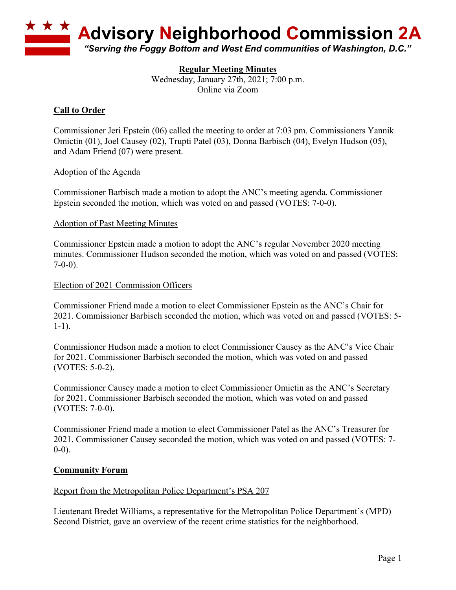

# **Regular Meeting Minutes**

Wednesday, January 27th, 2021; 7:00 p.m. Online via Zoom

# **Call to Order**

Commissioner Jeri Epstein (06) called the meeting to order at 7:03 pm. Commissioners Yannik Omictin (01), Joel Causey (02), Trupti Patel (03), Donna Barbisch (04), Evelyn Hudson (05), and Adam Friend (07) were present.

### Adoption of the Agenda

Commissioner Barbisch made a motion to adopt the ANC's meeting agenda. Commissioner Epstein seconded the motion, which was voted on and passed (VOTES: 7-0-0).

#### Adoption of Past Meeting Minutes

Commissioner Epstein made a motion to adopt the ANC's regular November 2020 meeting minutes. Commissioner Hudson seconded the motion, which was voted on and passed (VOTES:  $7-0-0$ ).

### Election of 2021 Commission Officers

Commissioner Friend made a motion to elect Commissioner Epstein as the ANC's Chair for 2021. Commissioner Barbisch seconded the motion, which was voted on and passed (VOTES: 5- 1-1).

Commissioner Hudson made a motion to elect Commissioner Causey as the ANC's Vice Chair for 2021. Commissioner Barbisch seconded the motion, which was voted on and passed (VOTES: 5-0-2).

Commissioner Causey made a motion to elect Commissioner Omictin as the ANC's Secretary for 2021. Commissioner Barbisch seconded the motion, which was voted on and passed (VOTES: 7-0-0).

Commissioner Friend made a motion to elect Commissioner Patel as the ANC's Treasurer for 2021. Commissioner Causey seconded the motion, which was voted on and passed (VOTES: 7-  $0-0$ ).

#### **Community Forum**

#### Report from the Metropolitan Police Department's PSA 207

Lieutenant Bredet Williams, a representative for the Metropolitan Police Department's (MPD) Second District, gave an overview of the recent crime statistics for the neighborhood.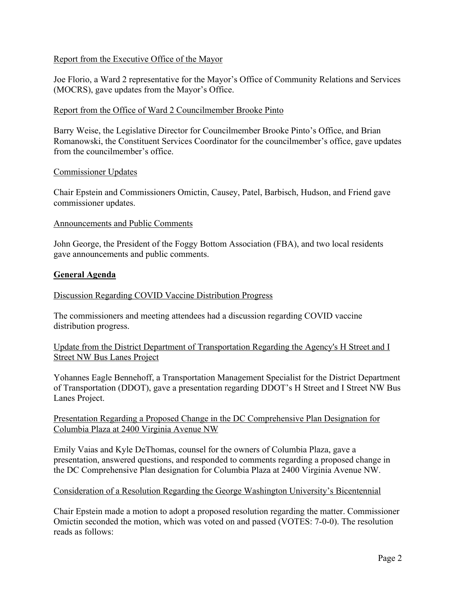### Report from the Executive Office of the Mayor

Joe Florio, a Ward 2 representative for the Mayor's Office of Community Relations and Services (MOCRS), gave updates from the Mayor's Office.

#### Report from the Office of Ward 2 Councilmember Brooke Pinto

Barry Weise, the Legislative Director for Councilmember Brooke Pinto's Office, and Brian Romanowski, the Constituent Services Coordinator for the councilmember's office, gave updates from the councilmember's office.

#### Commissioner Updates

Chair Epstein and Commissioners Omictin, Causey, Patel, Barbisch, Hudson, and Friend gave commissioner updates.

#### Announcements and Public Comments

John George, the President of the Foggy Bottom Association (FBA), and two local residents gave announcements and public comments.

#### **General Agenda**

#### Discussion Regarding COVID Vaccine Distribution Progress

The commissioners and meeting attendees had a discussion regarding COVID vaccine distribution progress.

Update from the District Department of Transportation Regarding the Agency's H Street and I Street NW Bus Lanes Project

Yohannes Eagle Bennehoff, a Transportation Management Specialist for the District Department of Transportation (DDOT), gave a presentation regarding DDOT's H Street and I Street NW Bus Lanes Project.

#### Presentation Regarding a Proposed Change in the DC Comprehensive Plan Designation for Columbia Plaza at 2400 Virginia Avenue NW

Emily Vaias and Kyle DeThomas, counsel for the owners of Columbia Plaza, gave a presentation, answered questions, and responded to comments regarding a proposed change in the DC Comprehensive Plan designation for Columbia Plaza at 2400 Virginia Avenue NW.

#### Consideration of a Resolution Regarding the George Washington University's Bicentennial

Chair Epstein made a motion to adopt a proposed resolution regarding the matter. Commissioner Omictin seconded the motion, which was voted on and passed (VOTES: 7-0-0). The resolution reads as follows: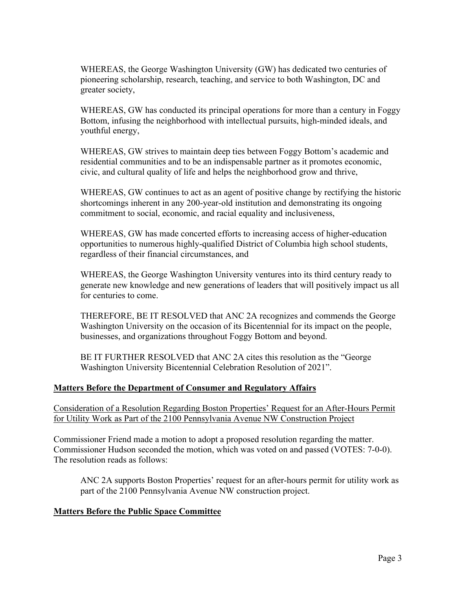WHEREAS, the George Washington University (GW) has dedicated two centuries of pioneering scholarship, research, teaching, and service to both Washington, DC and greater society,

WHEREAS, GW has conducted its principal operations for more than a century in Foggy Bottom, infusing the neighborhood with intellectual pursuits, high-minded ideals, and youthful energy,

WHEREAS, GW strives to maintain deep ties between Foggy Bottom's academic and residential communities and to be an indispensable partner as it promotes economic, civic, and cultural quality of life and helps the neighborhood grow and thrive,

WHEREAS, GW continues to act as an agent of positive change by rectifying the historic shortcomings inherent in any 200-year-old institution and demonstrating its ongoing commitment to social, economic, and racial equality and inclusiveness,

WHEREAS, GW has made concerted efforts to increasing access of higher-education opportunities to numerous highly-qualified District of Columbia high school students, regardless of their financial circumstances, and

WHEREAS, the George Washington University ventures into its third century ready to generate new knowledge and new generations of leaders that will positively impact us all for centuries to come.

THEREFORE, BE IT RESOLVED that ANC 2A recognizes and commends the George Washington University on the occasion of its Bicentennial for its impact on the people, businesses, and organizations throughout Foggy Bottom and beyond.

BE IT FURTHER RESOLVED that ANC 2A cites this resolution as the "George Washington University Bicentennial Celebration Resolution of 2021".

# **Matters Before the Department of Consumer and Regulatory Affairs**

Consideration of a Resolution Regarding Boston Properties' Request for an After-Hours Permit for Utility Work as Part of the 2100 Pennsylvania Avenue NW Construction Project

Commissioner Friend made a motion to adopt a proposed resolution regarding the matter. Commissioner Hudson seconded the motion, which was voted on and passed (VOTES: 7-0-0). The resolution reads as follows:

ANC 2A supports Boston Properties' request for an after-hours permit for utility work as part of the 2100 Pennsylvania Avenue NW construction project.

#### **Matters Before the Public Space Committee**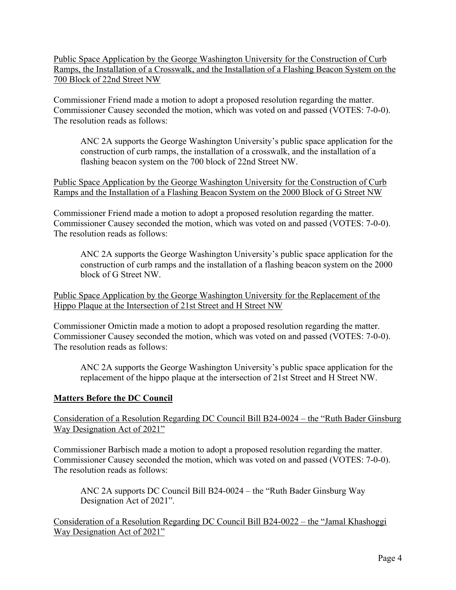Public Space Application by the George Washington University for the Construction of Curb Ramps, the Installation of a Crosswalk, and the Installation of a Flashing Beacon System on the 700 Block of 22nd Street NW

Commissioner Friend made a motion to adopt a proposed resolution regarding the matter. Commissioner Causey seconded the motion, which was voted on and passed (VOTES: 7-0-0). The resolution reads as follows:

ANC 2A supports the George Washington University's public space application for the construction of curb ramps, the installation of a crosswalk, and the installation of a flashing beacon system on the 700 block of 22nd Street NW.

Public Space Application by the George Washington University for the Construction of Curb Ramps and the Installation of a Flashing Beacon System on the 2000 Block of G Street NW

Commissioner Friend made a motion to adopt a proposed resolution regarding the matter. Commissioner Causey seconded the motion, which was voted on and passed (VOTES: 7-0-0). The resolution reads as follows:

ANC 2A supports the George Washington University's public space application for the construction of curb ramps and the installation of a flashing beacon system on the 2000 block of G Street NW.

Public Space Application by the George Washington University for the Replacement of the Hippo Plaque at the Intersection of 21st Street and H Street NW

Commissioner Omictin made a motion to adopt a proposed resolution regarding the matter. Commissioner Causey seconded the motion, which was voted on and passed (VOTES: 7-0-0). The resolution reads as follows:

ANC 2A supports the George Washington University's public space application for the replacement of the hippo plaque at the intersection of 21st Street and H Street NW.

# **Matters Before the DC Council**

Consideration of a Resolution Regarding DC Council Bill B24-0024 – the "Ruth Bader Ginsburg Way Designation Act of 2021"

Commissioner Barbisch made a motion to adopt a proposed resolution regarding the matter. Commissioner Causey seconded the motion, which was voted on and passed (VOTES: 7-0-0). The resolution reads as follows:

ANC 2A supports DC Council Bill B24-0024 – the "Ruth Bader Ginsburg Way Designation Act of 2021".

Consideration of a Resolution Regarding DC Council Bill B24-0022 – the "Jamal Khashoggi Way Designation Act of 2021"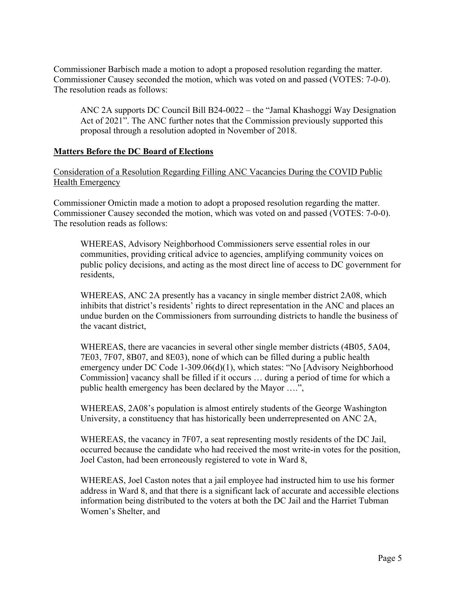Commissioner Barbisch made a motion to adopt a proposed resolution regarding the matter. Commissioner Causey seconded the motion, which was voted on and passed (VOTES: 7-0-0). The resolution reads as follows:

ANC 2A supports DC Council Bill B24-0022 – the "Jamal Khashoggi Way Designation Act of 2021". The ANC further notes that the Commission previously supported this proposal through a resolution adopted in November of 2018.

### **Matters Before the DC Board of Elections**

Consideration of a Resolution Regarding Filling ANC Vacancies During the COVID Public Health Emergency

Commissioner Omictin made a motion to adopt a proposed resolution regarding the matter. Commissioner Causey seconded the motion, which was voted on and passed (VOTES: 7-0-0). The resolution reads as follows:

WHEREAS, Advisory Neighborhood Commissioners serve essential roles in our communities, providing critical advice to agencies, amplifying community voices on public policy decisions, and acting as the most direct line of access to DC government for residents,

WHEREAS, ANC 2A presently has a vacancy in single member district 2A08, which inhibits that district's residents' rights to direct representation in the ANC and places an undue burden on the Commissioners from surrounding districts to handle the business of the vacant district,

WHEREAS, there are vacancies in several other single member districts (4B05, 5A04, 7E03, 7F07, 8B07, and 8E03), none of which can be filled during a public health emergency under DC Code 1-309.06(d)(1), which states: "No [Advisory Neighborhood Commission] vacancy shall be filled if it occurs … during a period of time for which a public health emergency has been declared by the Mayor ….",

WHEREAS, 2A08's population is almost entirely students of the George Washington University, a constituency that has historically been underrepresented on ANC 2A,

WHEREAS, the vacancy in 7F07, a seat representing mostly residents of the DC Jail, occurred because the candidate who had received the most write-in votes for the position, Joel Caston, had been erroneously registered to vote in Ward 8,

WHEREAS, Joel Caston notes that a jail employee had instructed him to use his former address in Ward 8, and that there is a significant lack of accurate and accessible elections information being distributed to the voters at both the DC Jail and the Harriet Tubman Women's Shelter, and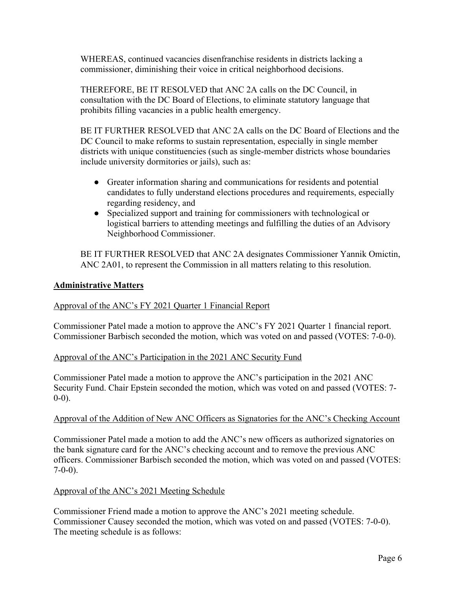WHEREAS, continued vacancies disenfranchise residents in districts lacking a commissioner, diminishing their voice in critical neighborhood decisions.

THEREFORE, BE IT RESOLVED that ANC 2A calls on the DC Council, in consultation with the DC Board of Elections, to eliminate statutory language that prohibits filling vacancies in a public health emergency.

BE IT FURTHER RESOLVED that ANC 2A calls on the DC Board of Elections and the DC Council to make reforms to sustain representation, especially in single member districts with unique constituencies (such as single-member districts whose boundaries include university dormitories or jails), such as:

- Greater information sharing and communications for residents and potential candidates to fully understand elections procedures and requirements, especially regarding residency, and
- Specialized support and training for commissioners with technological or logistical barriers to attending meetings and fulfilling the duties of an Advisory Neighborhood Commissioner.

BE IT FURTHER RESOLVED that ANC 2A designates Commissioner Yannik Omictin, ANC 2A01, to represent the Commission in all matters relating to this resolution.

# **Administrative Matters**

# Approval of the ANC's FY 2021 Quarter 1 Financial Report

Commissioner Patel made a motion to approve the ANC's FY 2021 Quarter 1 financial report. Commissioner Barbisch seconded the motion, which was voted on and passed (VOTES: 7-0-0).

# Approval of the ANC's Participation in the 2021 ANC Security Fund

Commissioner Patel made a motion to approve the ANC's participation in the 2021 ANC Security Fund. Chair Epstein seconded the motion, which was voted on and passed (VOTES: 7- 0-0).

# Approval of the Addition of New ANC Officers as Signatories for the ANC's Checking Account

Commissioner Patel made a motion to add the ANC's new officers as authorized signatories on the bank signature card for the ANC's checking account and to remove the previous ANC officers. Commissioner Barbisch seconded the motion, which was voted on and passed (VOTES:  $7-0-0$ ).

# Approval of the ANC's 2021 Meeting Schedule

Commissioner Friend made a motion to approve the ANC's 2021 meeting schedule. Commissioner Causey seconded the motion, which was voted on and passed (VOTES: 7-0-0). The meeting schedule is as follows: